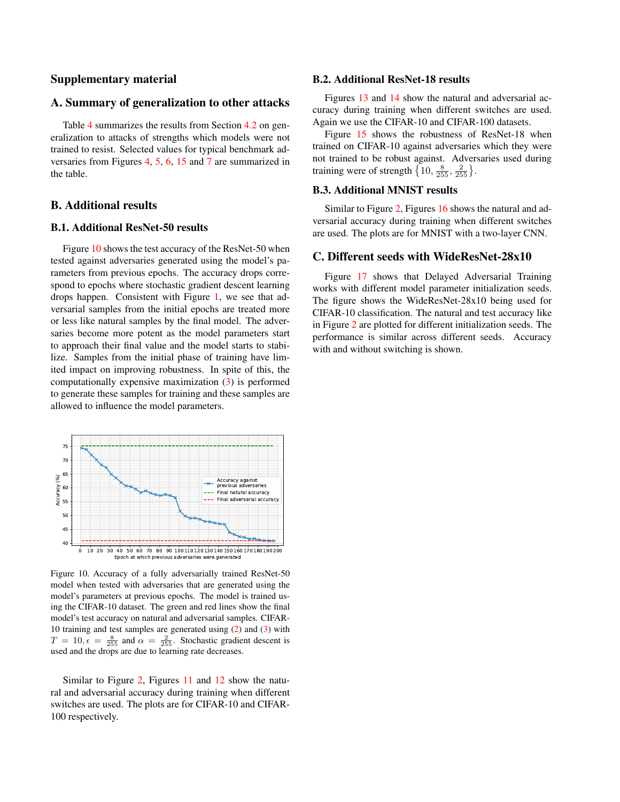# Supplementary material

### A. Summary of generalization to other attacks

Table [4](#page-1-0) summarizes the results from Section [4.2](#page--1-0) on generalization to attacks of strengths which models were not trained to resist. Selected values for typical benchmark adversaries from Figures [4,](#page--1-1) [5,](#page--1-2) [6,](#page--1-3) [15](#page-3-0) and [7](#page--1-4) are summarized in the table.

# B. Additional results

## B.1. Additional ResNet-50 results

Figure [10](#page-0-0) shows the test accuracy of the ResNet-50 when tested against adversaries generated using the model's parameters from previous epochs. The accuracy drops correspond to epochs where stochastic gradient descent learning drops happen. Consistent with Figure [1,](#page--1-5) we see that adversarial samples from the initial epochs are treated more or less like natural samples by the final model. The adversaries become more potent as the model parameters start to approach their final value and the model starts to stabilize. Samples from the initial phase of training have limited impact on improving robustness. In spite of this, the computationally expensive maximization [\(3\)](#page--1-6) is performed to generate these samples for training and these samples are allowed to influence the model parameters.



<span id="page-0-0"></span>Figure 10. Accuracy of a fully adversarially trained ResNet-50 model when tested with adversaries that are generated using the model's parameters at previous epochs. The model is trained using the CIFAR-10 dataset. The green and red lines show the final model's test accuracy on natural and adversarial samples. CIFAR-10 training and test samples are generated using [\(2\)](#page--1-7) and [\(3\)](#page--1-6) with  $T = 10, \epsilon = \frac{8}{255}$  and  $\alpha = \frac{2}{255}$ . Stochastic gradient descent is used and the drops are due to learning rate decreases.

Similar to Figure [2,](#page--1-8) Figures [11](#page-1-1) and [12](#page-2-0) show the natural and adversarial accuracy during training when different switches are used. The plots are for CIFAR-10 and CIFAR-100 respectively.

#### B.2. Additional ResNet-18 results

Figures [13](#page-2-1) and [14](#page-2-2) show the natural and adversarial accuracy during training when different switches are used. Again we use the CIFAR-10 and CIFAR-100 datasets.

Figure [15](#page-3-0) shows the robustness of ResNet-18 when trained on CIFAR-10 against adversaries which they were not trained to be robust against. Adversaries used during training were of strength  $\left\{10, \frac{8}{255}, \frac{2}{255}\right\}$ .

# B.3. Additional MNIST results

Similar to Figure [2,](#page--1-8) Figures [16](#page-3-1) shows the natural and adversarial accuracy during training when different switches are used. The plots are for MNIST with a two-layer CNN.

### C. Different seeds with WideResNet-28x10

Figure [17](#page-3-2) shows that Delayed Adversarial Training works with different model parameter initialization seeds. The figure shows the WideResNet-28x10 being used for CIFAR-10 classification. The natural and test accuracy like in Figure [2](#page--1-8) are plotted for different initialization seeds. The performance is similar across different seeds. Accuracy with and without switching is shown.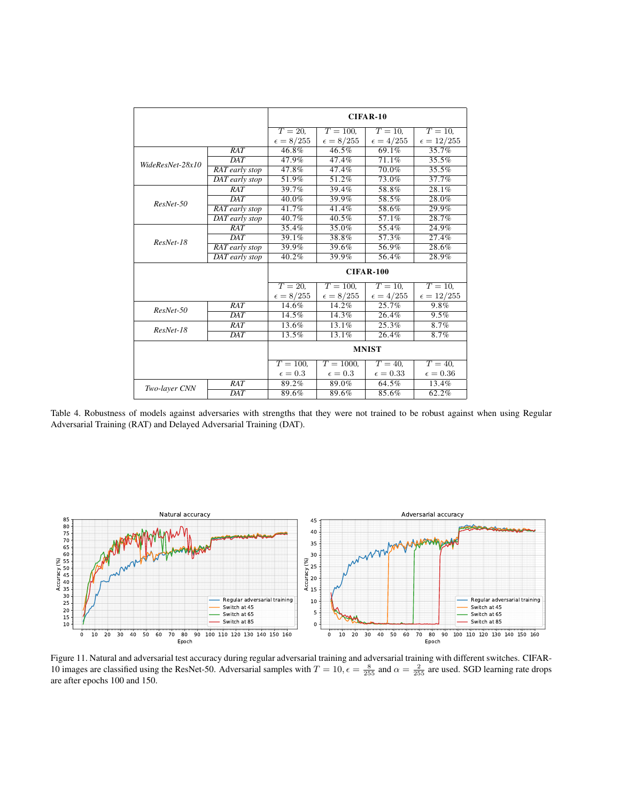|                  |                  | CIFAR-10           |                     |                    |                     |
|------------------|------------------|--------------------|---------------------|--------------------|---------------------|
|                  |                  | $T=20$ ,           | $T = 100$ ,         | $T=10$ ,           | $T=10$ ,            |
|                  |                  | $\epsilon=8/255$   | $\epsilon = 8/255$  | $\epsilon = 4/255$ | $\epsilon = 12/255$ |
| WideResNet-28x10 | RAT              | 46.8%              | 46.5%               | 69.1%              | 35.7%               |
|                  | DAT              | 47.9%              | 47.4%               | 71.1%              | 35.5%               |
|                  | RAT early stop   | 47.8%              | 47.4%               | 70.0%              | 35.5%               |
|                  | DAT early stop   | 51.9%              | 51.2%               | 73.0%              | 37.7%               |
| ResNet-50        | RAT              | 39.7%              | 39.4%               | 58.8%              | 28.1%               |
|                  | <b>DAT</b>       | 40.0%              | 39.9%               | 58.5%              | 28.0%               |
|                  | RAT early stop   | 41.7%              | 41.4%               | 58.6%              | 29.9%               |
|                  | DAT early stop   | 40.7%              | 40.5%               | 57.1%              | 28.7%               |
| ResNet-18        | RAT              | 35.4%              | 35.0%               | 55.4%              | 24.9%               |
|                  | $\overline{DAT}$ | 39.1%              | 38.8%               | 57.3%              | 27.4%               |
|                  | RAT early stop   | 39.9%              | 39.6%               | 56.9%              | 28.6%               |
|                  | DAT early stop   | 40.2%              | 39.9%               | 56.4%              | 28.9%               |
|                  |                  | <b>CIFAR-100</b>   |                     |                    |                     |
|                  |                  | $T=20$ .           | $T = 100.$          | $T=10$ .           | $T=10$ .            |
|                  |                  | $\epsilon = 8/255$ | $\epsilon = 8/255$  | $\epsilon = 4/255$ | $\epsilon=12/255$   |
| ResNet-50        | RAT              | 14.6%              | $14.\overline{2\%}$ | 25.7%              | 9.8%                |
|                  | $\overline{DAT}$ | $14.5\%$           | 14.3%               | 26.4%              | 9.5%                |
| $ResNet-18$      | RAT              | 13.6%              | 13.1%               | 25.3%              | 8.7%                |
|                  | DAT              | 13.5%              | 13.1%               | 26.4%              | 8.7%                |
|                  |                  | <b>MNIST</b>       |                     |                    |                     |
|                  |                  | $T = 100$ ,        | $T = 1000.$         | $T=40$ .           | $T=40$ .            |
|                  |                  | $\epsilon = 0.3$   | $\epsilon = 0.3$    | $\epsilon = 0.33$  | $\epsilon = 0.36$   |
| Two-layer CNN    | RAT              | 89.2%              | 89.0%               | 64.5%              | 13.4%               |
|                  | $\overline{DAT}$ | 89.6%              | 89.6%               | 85.6%              | 62.2%               |

<span id="page-1-0"></span>Table 4. Robustness of models against adversaries with strengths that they were not trained to be robust against when using Regular Adversarial Training (RAT) and Delayed Adversarial Training (DAT).



<span id="page-1-1"></span>Figure 11. Natural and adversarial test accuracy during regular adversarial training and adversarial training with different switches. CIFAR-10 images are classified using the ResNet-50. Adversarial samples with  $T = 10$ ,  $\epsilon = \frac{8}{255}$  and  $\alpha = \frac{2}{255}$  are used. SGD learning rate drops are after epochs 100 and 150.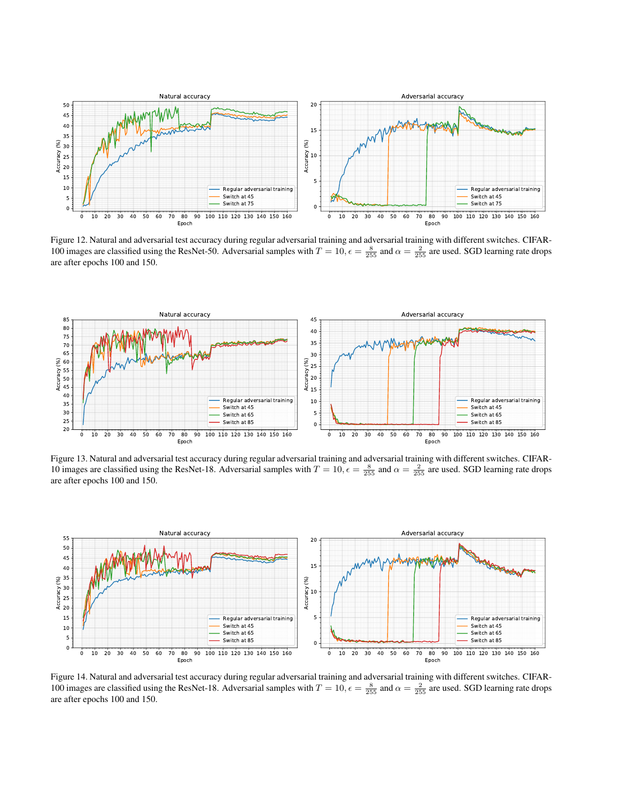

<span id="page-2-0"></span>Figure 12. Natural and adversarial test accuracy during regular adversarial training and adversarial training with different switches. CIFAR-100 images are classified using the ResNet-50. Adversarial samples with  $T = 10$ ,  $\epsilon = \frac{8}{255}$  and  $\alpha = \frac{2}{255}$  are used. SGD learning rate drops are after epochs 100 and 150.



<span id="page-2-1"></span>Figure 13. Natural and adversarial test accuracy during regular adversarial training and adversarial training with different switches. CIFAR-10 images are classified using the ResNet-18. Adversarial samples with  $T = 10$ ,  $\epsilon = \frac{8}{255}$  and  $\alpha = \frac{2}{255}$  are used. SGD learning rate drops are after epochs 100 and 150.



<span id="page-2-2"></span>Figure 14. Natural and adversarial test accuracy during regular adversarial training and adversarial training with different switches. CIFAR-100 images are classified using the ResNet-18. Adversarial samples with  $T = 10$ ,  $\epsilon = \frac{8}{255}$  and  $\alpha = \frac{2}{255}$  are used. SGD learning rate drops are after epochs 100 and 150.